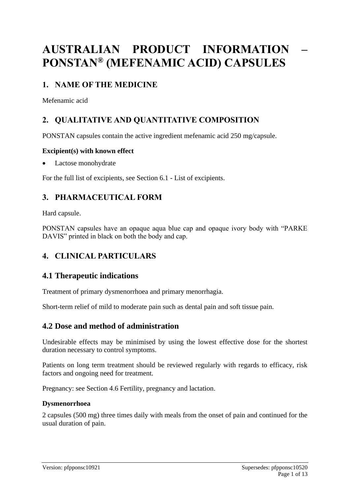# **AUSTRALIAN PRODUCT INFORMATION – PONSTAN® (MEFENAMIC ACID) CAPSULES**

# **1. NAME OF THE MEDICINE**

Mefenamic acid

# **2. QUALITATIVE AND QUANTITATIVE COMPOSITION**

PONSTAN capsules contain the active ingredient mefenamic acid 250 mg/capsule.

### **Excipient(s) with known effect**

Lactose monohydrate

For the full list of excipients, see Section 6.1 - List of excipients.

# **3. PHARMACEUTICAL FORM**

Hard capsule.

PONSTAN capsules have an opaque aqua blue cap and opaque ivory body with "PARKE DAVIS" printed in black on both the body and cap.

# **4. CLINICAL PARTICULARS**

# **4.1 Therapeutic indications**

Treatment of primary dysmenorrhoea and primary menorrhagia.

Short-term relief of mild to moderate pain such as dental pain and soft tissue pain.

# **4.2 Dose and method of administration**

Undesirable effects may be minimised by using the lowest effective dose for the shortest duration necessary to control symptoms.

Patients on long term treatment should be reviewed regularly with regards to efficacy, risk factors and ongoing need for treatment.

Pregnancy: see Section 4.6 Fertility, pregnancy and lactation.

### **Dysmenorrhoea**

2 capsules (500 mg) three times daily with meals from the onset of pain and continued for the usual duration of pain.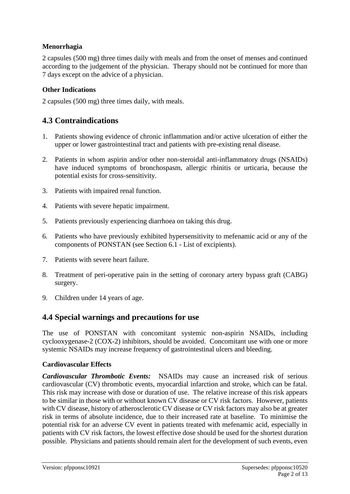### **Menorrhagia**

2 capsules (500 mg) three times daily with meals and from the onset of menses and continued according to the judgement of the physician. Therapy should not be continued for more than 7 days except on the advice of a physician.

### **Other Indications**

2 capsules (500 mg) three times daily, with meals.

# **4.3 Contraindications**

- 1. Patients showing evidence of chronic inflammation and/or active ulceration of either the upper or lower gastrointestinal tract and patients with pre-existing renal disease.
- 2. Patients in whom aspirin and/or other non-steroidal anti-inflammatory drugs (NSAIDs) have induced symptoms of bronchospasm, allergic rhinitis or urticaria, because the potential exists for cross-sensitivity.
- 3. Patients with impaired renal function.
- 4. Patients with severe hepatic impairment.
- 5. Patients previously experiencing diarrhoea on taking this drug.
- 6. Patients who have previously exhibited hypersensitivity to mefenamic acid or any of the components of PONSTAN (see Section 6.1 - List of excipients).
- 7. Patients with severe heart failure.
- 8. Treatment of peri-operative pain in the setting of coronary artery bypass graft (CABG) surgery.
- 9. Children under 14 years of age.

# **4.4 Special warnings and precautions for use**

The use of PONSTAN with concomitant systemic non-aspirin NSAIDs, including cyclooxygenase-2 (COX-2) inhibitors, should be avoided. Concomitant use with one or more systemic NSAIDs may increase frequency of gastrointestinal ulcers and bleeding.

### **Cardiovascular Effects**

*Cardiovascular Thrombotic Events:* NSAIDs may cause an increased risk of serious cardiovascular (CV) thrombotic events, myocardial infarction and stroke, which can be fatal. This risk may increase with dose or duration of use. The relative increase of this risk appears to be similar in those with or without known CV disease or CV risk factors. However, patients with CV disease, history of atherosclerotic CV disease or CV risk factors may also be at greater risk in terms of absolute incidence, due to their increased rate at baseline. To minimise the potential risk for an adverse CV event in patients treated with mefenamic acid, especially in patients with CV risk factors, the lowest effective dose should be used for the shortest duration possible. Physicians and patients should remain alert for the development of such events, even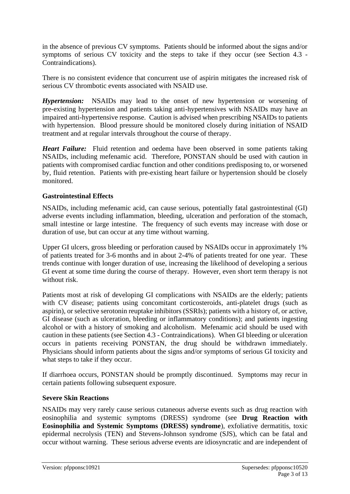in the absence of previous CV symptoms. Patients should be informed about the signs and/or symptoms of serious CV toxicity and the steps to take if they occur (see Section 4.3 - Contraindications).

There is no consistent evidence that concurrent use of aspirin mitigates the increased risk of serious CV thrombotic events associated with NSAID use.

*Hypertension:* NSAIDs may lead to the onset of new hypertension or worsening of pre-existing hypertension and patients taking anti-hypertensives with NSAIDs may have an impaired anti-hypertensive response. Caution is advised when prescribing NSAIDs to patients with hypertension. Blood pressure should be monitored closely during initiation of NSAID treatment and at regular intervals throughout the course of therapy.

*Heart Failure:* Fluid retention and oedema have been observed in some patients taking NSAIDs, including mefenamic acid. Therefore, PONSTAN should be used with caution in patients with compromised cardiac function and other conditions predisposing to, or worsened by, fluid retention. Patients with pre-existing heart failure or hypertension should be closely monitored.

#### **Gastrointestinal Effects**

NSAIDs, including mefenamic acid, can cause serious, potentially fatal gastrointestinal (GI) adverse events including inflammation, bleeding, ulceration and perforation of the stomach, small intestine or large intestine. The frequency of such events may increase with dose or duration of use, but can occur at any time without warning.

Upper GI ulcers, gross bleeding or perforation caused by NSAIDs occur in approximately 1% of patients treated for 3-6 months and in about 2-4% of patients treated for one year. These trends continue with longer duration of use, increasing the likelihood of developing a serious GI event at some time during the course of therapy. However, even short term therapy is not without risk.

Patients most at risk of developing GI complications with NSAIDs are the elderly; patients with CV disease; patients using concomitant corticosteroids, anti-platelet drugs (such as aspirin), or selective serotonin reuptake inhibitors (SSRIs); patients with a history of, or active, GI disease (such as ulceration, bleeding or inflammatory conditions); and patients ingesting alcohol or with a history of smoking and alcoholism. Mefenamic acid should be used with caution in these patients (see Section 4.3 - Contraindications). When GI bleeding or ulceration occurs in patients receiving PONSTAN, the drug should be withdrawn immediately. Physicians should inform patients about the signs and/or symptoms of serious GI toxicity and what steps to take if they occur.

If diarrhoea occurs, PONSTAN should be promptly discontinued. Symptoms may recur in certain patients following subsequent exposure.

#### **Severe Skin Reactions**

NSAIDs may very rarely cause serious cutaneous adverse events such as drug reaction with eosinophilia and systemic symptoms (DRESS) syndrome (see **Drug Reaction with Eosinophilia and Systemic Symptoms (DRESS) syndrome**), exfoliative dermatitis, toxic epidermal necrolysis (TEN) and Stevens-Johnson syndrome (SJS), which can be fatal and occur without warning. These serious adverse events are idiosyncratic and are independent of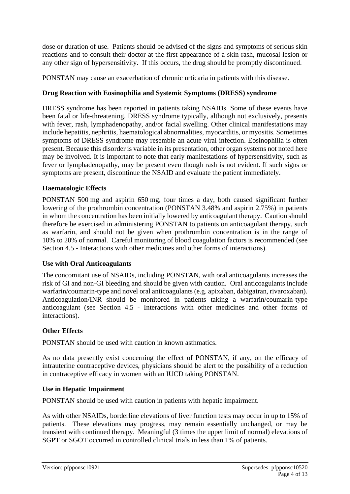dose or duration of use. Patients should be advised of the signs and symptoms of serious skin reactions and to consult their doctor at the first appearance of a skin rash, mucosal lesion or any other sign of hypersensitivity. If this occurs, the drug should be promptly discontinued.

PONSTAN may cause an exacerbation of chronic urticaria in patients with this disease.

### **Drug Reaction with Eosinophilia and Systemic Symptoms (DRESS) syndrome**

DRESS syndrome has been reported in patients taking NSAIDs. Some of these events have been fatal or life-threatening. DRESS syndrome typically, although not exclusively, presents with fever, rash, lymphadenopathy, and/or facial swelling. Other clinical manifestations may include hepatitis, nephritis, haematological abnormalities, myocarditis, or myositis. Sometimes symptoms of DRESS syndrome may resemble an acute viral infection. Eosinophilia is often present. Because this disorder is variable in its presentation, other organ systems not noted here may be involved. It is important to note that early manifestations of hypersensitivity, such as fever or lymphadenopathy, may be present even though rash is not evident. If such signs or symptoms are present, discontinue the NSAID and evaluate the patient immediately.

#### **Haematologic Effects**

PONSTAN 500 mg and aspirin 650 mg, four times a day, both caused significant further lowering of the prothrombin concentration (PONSTAN 3.48% and aspirin 2.75%) in patients in whom the concentration has been initially lowered by anticoagulant therapy. Caution should therefore be exercised in administering PONSTAN to patients on anticoagulant therapy, such as warfarin, and should not be given when prothrombin concentration is in the range of 10% to 20% of normal. Careful monitoring of blood coagulation factors is recommended (see Section 4.5 - Interactions with other medicines and other forms of interactions).

#### **Use with Oral Anticoagulants**

The concomitant use of NSAIDs, including PONSTAN, with oral anticoagulants increases the risk of GI and non-GI bleeding and should be given with caution. Oral anticoagulants include warfarin/coumarin-type and novel oral anticoagulants (e.g. apixaban, dabigatran, rivaroxaban). Anticoagulation/INR should be monitored in patients taking a warfarin/coumarin-type anticoagulant (see Section 4.5 - Interactions with other medicines and other forms of interactions).

### **Other Effects**

PONSTAN should be used with caution in known asthmatics.

As no data presently exist concerning the effect of PONSTAN, if any, on the efficacy of intrauterine contraceptive devices, physicians should be alert to the possibility of a reduction in contraceptive efficacy in women with an IUCD taking PONSTAN.

### **Use in Hepatic Impairment**

PONSTAN should be used with caution in patients with hepatic impairment.

As with other NSAIDs, borderline elevations of liver function tests may occur in up to 15% of patients. These elevations may progress, may remain essentially unchanged, or may be transient with continued therapy. Meaningful (3 times the upper limit of normal) elevations of SGPT or SGOT occurred in controlled clinical trials in less than 1% of patients.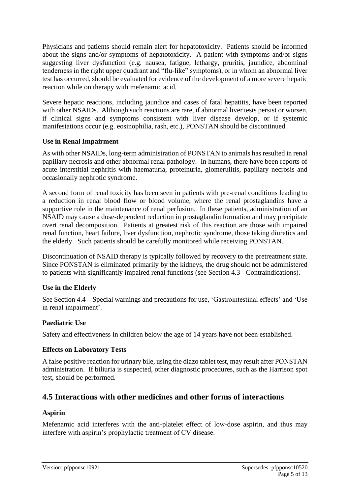Physicians and patients should remain alert for hepatotoxicity. Patients should be informed about the signs and/or symptoms of hepatotoxicity. A patient with symptoms and/or signs suggesting liver dysfunction (e.g. nausea, fatigue, lethargy, pruritis, jaundice, abdominal tenderness in the right upper quadrant and "flu-like" symptoms), or in whom an abnormal liver test has occurred, should be evaluated for evidence of the development of a more severe hepatic reaction while on therapy with mefenamic acid.

Severe hepatic reactions, including jaundice and cases of fatal hepatitis, have been reported with other NSAIDs. Although such reactions are rare, if abnormal liver tests persist or worsen, if clinical signs and symptoms consistent with liver disease develop, or if systemic manifestations occur (e.g. eosinophilia, rash, etc.), PONSTAN should be discontinued.

### **Use in Renal Impairment**

As with other NSAIDs, long-term administration of PONSTAN to animals has resulted in renal papillary necrosis and other abnormal renal pathology. In humans, there have been reports of acute interstitial nephritis with haematuria, proteinuria, glomerulitis, papillary necrosis and occasionally nephrotic syndrome.

A second form of renal toxicity has been seen in patients with pre-renal conditions leading to a reduction in renal blood flow or blood volume, where the renal prostaglandins have a supportive role in the maintenance of renal perfusion. In these patients, administration of an NSAID may cause a dose-dependent reduction in prostaglandin formation and may precipitate overt renal decomposition. Patients at greatest risk of this reaction are those with impaired renal function, heart failure, liver dysfunction, nephrotic syndrome, those taking diuretics and the elderly. Such patients should be carefully monitored while receiving PONSTAN.

Discontinuation of NSAID therapy is typically followed by recovery to the pretreatment state. Since PONSTAN is eliminated primarily by the kidneys, the drug should not be administered to patients with significantly impaired renal functions (see Section 4.3 - Contraindications).

#### **Use in the Elderly**

See Section 4.4 – Special warnings and precautions for use, 'Gastrointestinal effects' and 'Use in renal impairment'.

#### **Paediatric Use**

Safety and effectiveness in children below the age of 14 years have not been established.

#### **Effects on Laboratory Tests**

A false positive reaction for urinary bile, using the diazo tablet test, may result after PONSTAN administration. If biliuria is suspected, other diagnostic procedures, such as the Harrison spot test, should be performed.

# **4.5 Interactions with other medicines and other forms of interactions**

### **Aspirin**

Mefenamic acid interferes with the anti-platelet effect of low-dose aspirin, and thus may interfere with aspirin's prophylactic treatment of CV disease.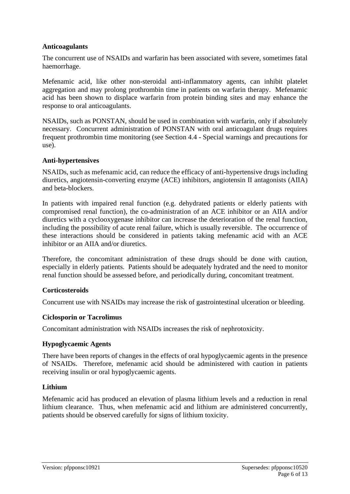#### **Anticoagulants**

The concurrent use of NSAIDs and warfarin has been associated with severe, sometimes fatal haemorrhage.

Mefenamic acid, like other non-steroidal anti-inflammatory agents, can inhibit platelet aggregation and may prolong prothrombin time in patients on warfarin therapy. Mefenamic acid has been shown to displace warfarin from protein binding sites and may enhance the response to oral anticoagulants.

NSAIDs, such as PONSTAN, should be used in combination with warfarin, only if absolutely necessary. Concurrent administration of PONSTAN with oral anticoagulant drugs requires frequent prothrombin time monitoring (see Section 4.4 - Special warnings and precautions for use).

#### **Anti-hypertensives**

NSAIDs, such as mefenamic acid, can reduce the efficacy of anti-hypertensive drugs including diuretics, angiotensin-converting enzyme (ACE) inhibitors, angiotensin II antagonists (AIIA) and beta-blockers.

In patients with impaired renal function (e.g. dehydrated patients or elderly patients with compromised renal function), the co-administration of an ACE inhibitor or an AIIA and/or diuretics with a cyclooxygenase inhibitor can increase the deterioration of the renal function, including the possibility of acute renal failure, which is usually reversible. The occurrence of these interactions should be considered in patients taking mefenamic acid with an ACE inhibitor or an AIIA and/or diuretics.

Therefore, the concomitant administration of these drugs should be done with caution, especially in elderly patients. Patients should be adequately hydrated and the need to monitor renal function should be assessed before, and periodically during, concomitant treatment.

#### **Corticosteroids**

Concurrent use with NSAIDs may increase the risk of gastrointestinal ulceration or bleeding.

#### **Ciclosporin or Tacrolimus**

Concomitant administration with NSAIDs increases the risk of nephrotoxicity.

#### **Hypoglycaemic Agents**

There have been reports of changes in the effects of oral hypoglycaemic agents in the presence of NSAIDs. Therefore, mefenamic acid should be administered with caution in patients receiving insulin or oral hypoglycaemic agents.

#### **Lithium**

Mefenamic acid has produced an elevation of plasma lithium levels and a reduction in renal lithium clearance. Thus, when mefenamic acid and lithium are administered concurrently, patients should be observed carefully for signs of lithium toxicity.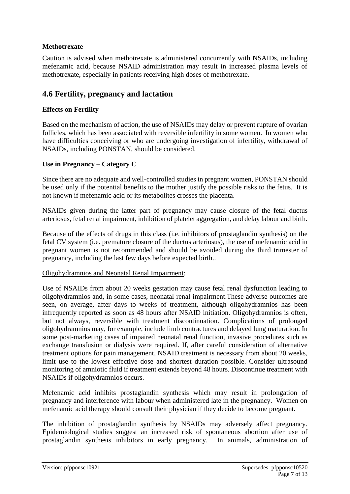### **Methotrexate**

Caution is advised when methotrexate is administered concurrently with NSAIDs, including mefenamic acid, because NSAID administration may result in increased plasma levels of methotrexate, especially in patients receiving high doses of methotrexate.

# **4.6 Fertility, pregnancy and lactation**

#### **Effects on Fertility**

Based on the mechanism of action, the use of NSAIDs may delay or prevent rupture of ovarian follicles, which has been associated with reversible infertility in some women. In women who have difficulties conceiving or who are undergoing investigation of infertility, withdrawal of NSAIDs, including PONSTAN, should be considered.

#### **Use in Pregnancy – Category C**

Since there are no adequate and well-controlled studies in pregnant women, PONSTAN should be used only if the potential benefits to the mother justify the possible risks to the fetus. It is not known if mefenamic acid or its metabolites crosses the placenta.

NSAIDs given during the latter part of pregnancy may cause closure of the fetal ductus arteriosus, fetal renal impairment, inhibition of platelet aggregation, and delay labour and birth.

Because of the effects of drugs in this class (i.e. inhibitors of prostaglandin synthesis) on the fetal CV system (i.e. premature closure of the ductus arteriosus), the use of mefenamic acid in pregnant women is not recommended and should be avoided during the third trimester of pregnancy, including the last few days before expected birth..

#### Oligohydramnios and Neonatal Renal Impairment:

Use of NSAIDs from about 20 weeks gestation may cause fetal renal dysfunction leading to oligohydramnios and, in some cases, neonatal renal impairment.These adverse outcomes are seen, on average, after days to weeks of treatment, although oligohydramnios has been infrequently reported as soon as 48 hours after NSAID initiation. Oligohydramnios is often, but not always, reversible with treatment discontinuation. Complications of prolonged oligohydramnios may, for example, include limb contractures and delayed lung maturation. In some post-marketing cases of impaired neonatal renal function, invasive procedures such as exchange transfusion or dialysis were required. If, after careful consideration of alternative treatment options for pain management, NSAID treatment is necessary from about 20 weeks, limit use to the lowest effective dose and shortest duration possible. Consider ultrasound monitoring of amniotic fluid if treatment extends beyond 48 hours. Discontinue treatment with NSAIDs if oligohydramnios occurs.

Mefenamic acid inhibits prostaglandin synthesis which may result in prolongation of pregnancy and interference with labour when administered late in the pregnancy. Women on mefenamic acid therapy should consult their physician if they decide to become pregnant.

The inhibition of prostaglandin synthesis by NSAIDs may adversely affect pregnancy. Epidemiological studies suggest an increased risk of spontaneous abortion after use of prostaglandin synthesis inhibitors in early pregnancy. In animals, administration of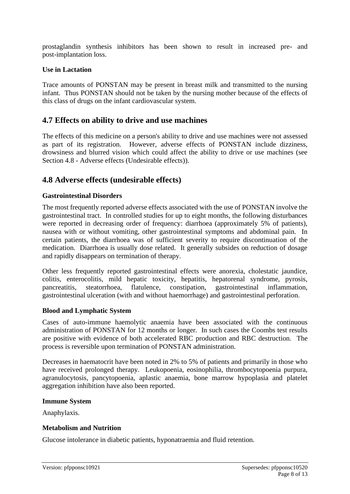prostaglandin synthesis inhibitors has been shown to result in increased pre- and post-implantation loss.

#### **Use in Lactation**

Trace amounts of PONSTAN may be present in breast milk and transmitted to the nursing infant. Thus PONSTAN should not be taken by the nursing mother because of the effects of this class of drugs on the infant cardiovascular system.

### **4.7 Effects on ability to drive and use machines**

The effects of this medicine on a person's ability to drive and use machines were not assessed as part of its registration. However, adverse effects of PONSTAN include dizziness, drowsiness and blurred vision which could affect the ability to drive or use machines (see Section 4.8 - Adverse effects (Undesirable effects)).

### **4.8 Adverse effects (undesirable effects)**

#### **Gastrointestinal Disorders**

The most frequently reported adverse effects associated with the use of PONSTAN involve the gastrointestinal tract. In controlled studies for up to eight months, the following disturbances were reported in decreasing order of frequency: diarrhoea (approximately 5% of patients), nausea with or without vomiting, other gastrointestinal symptoms and abdominal pain. In certain patients, the diarrhoea was of sufficient severity to require discontinuation of the medication. Diarrhoea is usually dose related. It generally subsides on reduction of dosage and rapidly disappears on termination of therapy.

Other less frequently reported gastrointestinal effects were anorexia, cholestatic jaundice, colitis, enterocolitis, mild hepatic toxicity, hepatitis, hepatorenal syndrome, pyrosis, pancreatitis, steatorrhoea, flatulence, constipation, gastrointestinal inflammation, gastrointestinal ulceration (with and without haemorrhage) and gastrointestinal perforation.

#### **Blood and Lymphatic System**

Cases of auto-immune haemolytic anaemia have been associated with the continuous administration of PONSTAN for 12 months or longer. In such cases the Coombs test results are positive with evidence of both accelerated RBC production and RBC destruction. The process is reversible upon termination of PONSTAN administration.

Decreases in haematocrit have been noted in 2% to 5% of patients and primarily in those who have received prolonged therapy. Leukopoenia, eosinophilia, thrombocytopoenia purpura, agranulocytosis, pancytopoenia, aplastic anaemia, bone marrow hypoplasia and platelet aggregation inhibition have also been reported.

#### **Immune System**

Anaphylaxis.

#### **Metabolism and Nutrition**

Glucose intolerance in diabetic patients, hyponatraemia and fluid retention.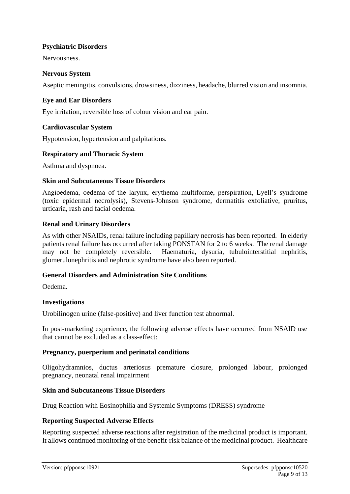#### **Psychiatric Disorders**

Nervousness.

#### **Nervous System**

Aseptic meningitis, convulsions, drowsiness, dizziness, headache, blurred vision and insomnia.

#### **Eye and Ear Disorders**

Eye irritation, reversible loss of colour vision and ear pain.

#### **Cardiovascular System**

Hypotension, hypertension and palpitations.

#### **Respiratory and Thoracic System**

Asthma and dyspnoea.

#### **Skin and Subcutaneous Tissue Disorders**

Angioedema, oedema of the larynx, erythema multiforme, perspiration, Lyell's syndrome (toxic epidermal necrolysis), Stevens-Johnson syndrome, dermatitis exfoliative, pruritus, urticaria, rash and facial oedema.

#### **Renal and Urinary Disorders**

As with other NSAIDs, renal failure including papillary necrosis has been reported. In elderly patients renal failure has occurred after taking PONSTAN for 2 to 6 weeks. The renal damage may not be completely reversible. Haematuria, dysuria, tubulointerstitial nephritis, glomerulonephritis and nephrotic syndrome have also been reported.

#### **General Disorders and Administration Site Conditions**

Oedema.

#### **Investigations**

Urobilinogen urine (false-positive) and liver function test abnormal.

In post-marketing experience, the following adverse effects have occurred from NSAID use that cannot be excluded as a class-effect:

#### **Pregnancy, puerperium and perinatal conditions**

Oligohydramnios, ductus arteriosus premature closure, prolonged labour, prolonged pregnancy, neonatal renal impairment

#### **Skin and Subcutaneous Tissue Disorders**

Drug Reaction with Eosinophilia and Systemic Symptoms (DRESS) syndrome

#### **Reporting Suspected Adverse Effects**

Reporting suspected adverse reactions after registration of the medicinal product is important. It allows continued monitoring of the benefit-risk balance of the medicinal product. Healthcare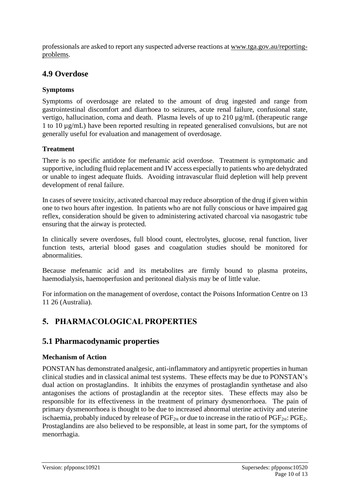professionals are asked to report any suspected adverse reactions at [www.tga.gov.au/reporting](http://www.tga.gov.au/reporting-problems)[problems.](http://www.tga.gov.au/reporting-problems)

# **4.9 Overdose**

### **Symptoms**

Symptoms of overdosage are related to the amount of drug ingested and range from gastrointestinal discomfort and diarrhoea to seizures, acute renal failure, confusional state, vertigo, hallucination, coma and death. Plasma levels of up to 210 µg/mL (therapeutic range 1 to 10 µg/mL) have been reported resulting in repeated generalised convulsions, but are not generally useful for evaluation and management of overdosage.

### **Treatment**

There is no specific antidote for mefenamic acid overdose. Treatment is symptomatic and supportive, including fluid replacement and IV access especially to patients who are dehydrated or unable to ingest adequate fluids. Avoiding intravascular fluid depletion will help prevent development of renal failure.

In cases of severe toxicity, activated charcoal may reduce absorption of the drug if given within one to two hours after ingestion. In patients who are not fully conscious or have impaired gag reflex, consideration should be given to administering activated charcoal via nasogastric tube ensuring that the airway is protected.

In clinically severe overdoses, full blood count, electrolytes, glucose, renal function, liver function tests, arterial blood gases and coagulation studies should be monitored for abnormalities.

Because mefenamic acid and its metabolites are firmly bound to plasma proteins, haemodialysis, haemoperfusion and peritoneal dialysis may be of little value.

For information on the management of overdose, contact the Poisons Information Centre on 13 11 26 (Australia).

# **5. PHARMACOLOGICAL PROPERTIES**

# **5.1 Pharmacodynamic properties**

# **Mechanism of Action**

PONSTAN has demonstrated analgesic, anti-inflammatory and antipyretic properties in human clinical studies and in classical animal test systems. These effects may be due to PONSTAN's dual action on prostaglandins. It inhibits the enzymes of prostaglandin synthetase and also antagonises the actions of prostaglandin at the receptor sites. These effects may also be responsible for its effectiveness in the treatment of primary dysmenorrhoea. The pain of primary dysmenorrhoea is thought to be due to increased abnormal uterine activity and uterine ischaemia, probably induced by release of  $PGF_{2\alpha}$  or due to increase in the ratio of  $PGF_{2\alpha}$ :  $PGE_2$ . Prostaglandins are also believed to be responsible, at least in some part, for the symptoms of menorrhagia.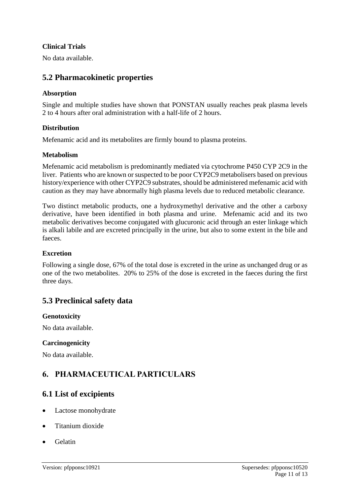### **Clinical Trials**

No data available.

### **5.2 Pharmacokinetic properties**

#### **Absorption**

Single and multiple studies have shown that PONSTAN usually reaches peak plasma levels 2 to 4 hours after oral administration with a half-life of 2 hours.

#### **Distribution**

Mefenamic acid and its metabolites are firmly bound to plasma proteins.

#### **Metabolism**

Mefenamic acid metabolism is predominantly mediated via cytochrome P450 CYP 2C9 in the liver. Patients who are known or suspected to be poor CYP2C9 metabolisers based on previous history/experience with other CYP2C9 substrates, should be administered mefenamic acid with caution as they may have abnormally high plasma levels due to reduced metabolic clearance.

Two distinct metabolic products, one a hydroxymethyl derivative and the other a carboxy derivative, have been identified in both plasma and urine. Mefenamic acid and its two metabolic derivatives become conjugated with glucuronic acid through an ester linkage which is alkali labile and are excreted principally in the urine, but also to some extent in the bile and faeces.

#### **Excretion**

Following a single dose, 67% of the total dose is excreted in the urine as unchanged drug or as one of the two metabolites. 20% to 25% of the dose is excreted in the faeces during the first three days.

# **5.3 Preclinical safety data**

#### **Genotoxicity**

No data available.

#### **Carcinogenicity**

No data available.

# **6. PHARMACEUTICAL PARTICULARS**

# **6.1 List of excipients**

- Lactose monohydrate
- Titanium dioxide
- Gelatin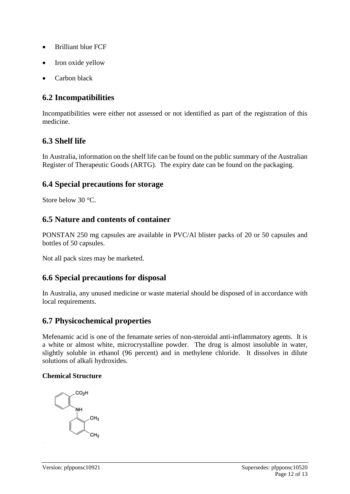- Brilliant blue FCF
- Iron oxide yellow
- Carbon black

# **6.2 Incompatibilities**

Incompatibilities were either not assessed or not identified as part of the registration of this medicine.

# **6.3 Shelf life**

In Australia, information on the shelf life can be found on the public summary of the Australian Register of Therapeutic Goods (ARTG). The expiry date can be found on the packaging.

# **6.4 Special precautions for storage**

Store below 30 °C.

# **6.5 Nature and contents of container**

PONSTAN 250 mg capsules are available in PVC/Al blister packs of 20 or 50 capsules and bottles of 50 capsules.

Not all pack sizes may be marketed.

# **6.6 Special precautions for disposal**

In Australia, any unused medicine or waste material should be disposed of in accordance with local requirements.

# **6.7 Physicochemical properties**

Mefenamic acid is one of the fenamate series of non-steroidal anti-inflammatory agents. It is a white or almost white, microcrystalline powder. The drug is almost insoluble in water, slightly soluble in ethanol (96 percent) and in methylene chloride. It dissolves in dilute solutions of alkali hydroxides.

### **Chemical Structure**